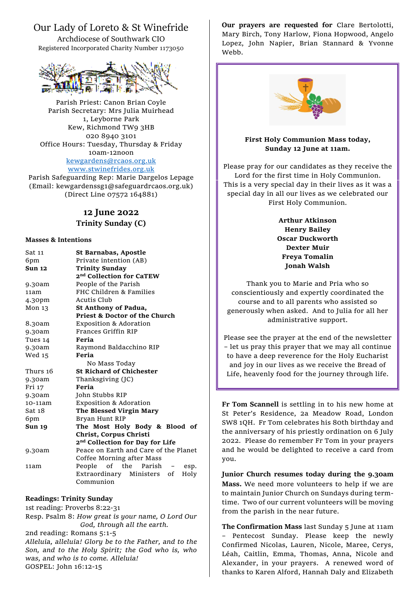## Our Lady of Loreto & St Winefride

Archdiocese of Southwark CIO Registered Incorporated Charity Number 1173050



Parish Priest: Canon Brian Coyle Parish Secretary: Mrs Julia Muirhead 1, Leyborne Park Kew, Richmond TW9 3HB 020 8940 3101 Office Hours: Tuesday, Thursday & Friday 10am-12noon [kewgardens@rcaos.org.uk](mailto:kewgardens@rcaos.org.uk) [www.stwinefrides.org.uk](http://www.stwinefrides.org.uk/)

Parish Safeguarding Rep: Marie Dargelos Lepage (Email: kewgardenssg1@safeguardrcaos.org.uk) (Direct Line 07572 164881)

# **12 June 2022 Trinity Sunday (C)**

#### **Masses & Intentions**

| Sat 11            | St Barnabas, Apostle                        |
|-------------------|---------------------------------------------|
| 6pm               | Private intention (AB)                      |
| <b>Sun 12</b>     | <b>Trinity Sunday</b>                       |
|                   | 2 <sup>nd</sup> Collection for CaTEW        |
| 9.30am            | People of the Parish                        |
| 11am              | FHC Children & Families                     |
| 4.30pm            | Acutis Club                                 |
| Mon <sub>13</sub> | St Anthony of Padua,                        |
|                   | Priest & Doctor of the Church               |
| 8.30am            | <b>Exposition &amp; Adoration</b>           |
| 9.30am            | Frances Griffin RIP                         |
| Tues 14           | Feria                                       |
| 9.30am            | Raymond Baldacchino RIP                     |
| Wed 15            | Feria                                       |
|                   | No Mass Today                               |
| Thurs 16          | <b>St Richard of Chichester</b>             |
| 9.30am            | Thanksgiving (JC)                           |
| Fri 17            | Feria                                       |
| 9.30am            | John Stubbs RIP                             |
| 10-11am           | <b>Exposition &amp; Adoration</b>           |
| Sat 18            | The Blessed Virgin Mary                     |
| 6pm               | Bryan Hunt RIP                              |
| <b>Sun 19</b>     | The Most Holy Body & Blood of               |
|                   | Christ, Corpus Christi                      |
|                   | 2 <sup>nd</sup> Collection for Day for Life |
| 9.30am            | Peace on Earth and Care of the Planet       |
|                   | Coffee Morning after Mass                   |
| 11am              | People<br>of the Parish -<br>esp.           |
|                   | Extraordinary Ministers of<br>Holy          |
|                   | Communion                                   |

### **Readings: Trinity Sunday**

1st reading: Proverbs 8:22-31 Resp. Psalm 8: *How great is your name, O Lord Our God, through all the earth.* 2nd reading: Romans 5:1-5 *Alleluia, alleluia! Glory be to the Father, and to the Son, and to the Holy Spirit; the God who is, who was, and who is to come. Alleluia!* GOSPEL: John 16:12-15

**Our prayers are requested for** Clare Bertolotti, Mary Birch, Tony Harlow, Fiona Hopwood, Angelo Lopez, John Napier, Brian Stannard & Yvonne Webb.



### **First Holy Communion Mass today, Sunday 12 June at 11am.**

Please pray for our candidates as they receive the Lord for the first time in Holy Communion. This is a very special day in their lives as it was a special day in all our lives as we celebrated our First Holy Communion.

> **Arthur Atkinson Henry Bailey Oscar Duckworth Dexter Muir Freya Tomalin Jonah Walsh**

Thank you to Marie and Pria who so conscientiously and expertly coordinated the course and to all parents who assisted so generously when asked. And to Julia for all her administrative support.

Please see the prayer at the end of the newsletter – let us pray this prayer that we may all continue to have a deep reverence for the Holy Eucharist and joy in our lives as we receive the Bread of Life, heavenly food for the journey through life.

**Fr Tom Scannell** is settling in to his new home at St Peter's Residence, 2a Meadow Road, London SW8 1QH. Fr Tom celebrates his 80th birthday and the anniversary of his priestly ordination on 6 July 2022. Please do remember Fr Tom in your prayers and he would be delighted to receive a card from you.

**Junior Church resumes today during the 9.30am Mass.** We need more volunteers to help if we are to maintain Junior Church on Sundays during termtime. Two of our current volunteers will be moving from the parish in the near future.

**The Confirmation Mass** last Sunday 5 June at 11am – Pentecost Sunday. Please keep the newly Confirmed Nicolas, Lauren, Nicole, Maree, Cerys, Léah, Caitlin, Emma, Thomas, Anna, Nicole and Alexander, in your prayers. A renewed word of thanks to Karen Alford, Hannah Daly and Elizabeth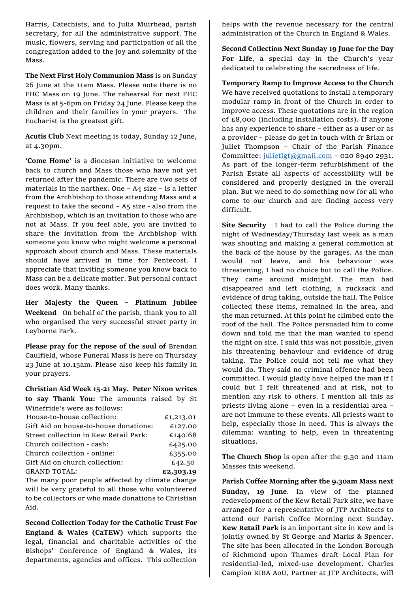Harris, Catechists, and to Julia Muirhead, parish secretary, for all the administrative support. The music, flowers, serving and participation of all the congregation added to the joy and solemnity of the Mass.

**The Next First Holy Communion Mass** is on Sunday 26 June at the 11am Mass. Please note there is no FHC Mass on 19 June. The rehearsal for next FHC Mass is at 5-6pm on Friday 24 June. Please keep the children and their families in your prayers. The Eucharist is the greatest gift.

**Acutis Club** Next meeting is today, Sunday 12 June, at 4.30pm.

**'Come Home'** is a diocesan initiative to welcome back to church and Mass those who have not yet returned after the pandemic. There are two sets of materials in the narthex. One – A4 size – is a letter from the Archbishop to those attending Mass and a request to take the second – A5 size - also from the Archbishop, which is an invitation to those who are not at Mass. If you feel able, you are invited to share the invitation from the Archbishop with someone you know who might welcome a personal approach about church and Mass. These materials should have arrived in time for Pentecost. I appreciate that inviting someone you know back to Mass can be a delicate matter. But personal contact does work. Many thanks.

**Her Majesty the Queen – Platinum Jubilee Weekend** On behalf of the parish, thank you to all who organised the very successful street party in Leyborne Park.

**Please pray for the repose of the soul of** Brendan Caulfield, whose Funeral Mass is here on Thursday 23 June at 10.15am. Please also keep his family in your prayers.

**Christian Aid Week 15-21 May. Peter Nixon writes to say Thank You:** The amounts raised by St Winefride's were as follows:

| which fue s were as follows.          |           |
|---------------------------------------|-----------|
| House-to-house collection:            | £1,213.01 |
| Gift Aid on house-to-house donations: | £127.00   |
| Street collection in Kew Retail Park: | £140.68   |
| Church collection - cash:             | £425.00   |
| Church collection - online:           | £355.00   |
| Gift Aid on church collection:        | £42.50    |
| <b>GRAND TOTAL:</b>                   | £2,303.19 |
|                                       |           |

The many poor people affected by climate change will be very grateful to all those who volunteered to be collectors or who made donations to Christian Aid.

**Second Collection Today for the Catholic Trust For England & Wales (CaTEW)** which supports the legal, financial and charitable activities of the Bishops' Conference of England & Wales, its departments, agencies and offices. This collection

helps with the revenue necessary for the central administration of the Church in England & Wales.

**Second Collection Next Sunday 19 June for the Day For Life**, a special day in the Church's year dedicated to celebrating the sacredness of life.

**Temporary Ramp to Improve Access to the Church** We have received quotations to install a temporary modular ramp in front of the Church in order to improve access. These quotations are in the region of  $£8,000$  (including installation costs). If anyone has any experience to share – either as a user or as a provider – please do get in touch with fr Brian or Juliet Thompson – Chair of the Parish Finance Committee: [julietlgt@gmail.com](mailto:julietlgt@gmail.com) – 020 8940 2931. As part of the longer-term refurbishment of the Parish Estate all aspects of accessibility will be considered and properly designed in the overall plan. But we need to do something now for all who come to our church and are finding access very difficult.

**Site Security** I had to call the Police during the night of Wednesday/Thursday last week as a man was shouting and making a general commotion at the back of the house by the garages. As the man would not leave, and his behaviour was threatening, I had no choice but to call the Police. They came around midnight. The man had disappeared and left clothing, a rucksack and evidence of drug taking, outside the hall. The Police collected these items, remained in the area, and the man returned. At this point he climbed onto the roof of the hall. The Police persuaded him to come down and told me that the man wanted to spend the night on site. I said this was not possible, given his threatening behaviour and evidence of drug taking. The Police could not tell me what they would do. They said no criminal offence had been committed. I would gladly have helped the man if I could but I felt threatened and at risk, not to mention any risk to others. I mention all this as priests living alone – even in a residential area – are not immune to these events. All priests want to help, especially those in need. This is always the dilemma: wanting to help, even in threatening situations.

**The Church Shop** is open after the 9.30 and 11am Masses this weekend.

**Parish Coffee Morning after the 9.30am Mass next Sunday, 19 June**. In view of the planned redevelopment of the Kew Retail Park site, we have arranged for a representative of JTP Architects to attend our Parish Coffee Morning next Sunday. **Kew Retail Park** is an important site in Kew and is jointly owned by St George and Marks & Spencer. The site has been allocated in the London Borough of Richmond upon Thames draft Local Plan for residential-led, mixed-use development. Charles Campion RIBA AoU, Partner at JTP Architects, will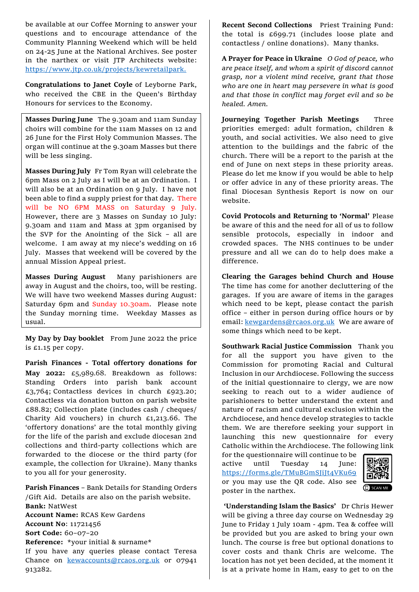be available at our Coffee Morning to answer your questions and to encourage attendance of the Community Planning Weekend which will be held on 24-25 June at the National Archives. See poster in the narthex or visit JTP Architects website: [https://www.jtp.co.uk/projects/kewretailpark.](https://www.jtp.co.uk/projects/kewretailpark)

**Congratulations to Janet Coyle** of Leyborne Park, who received the CBE in the Queen's Birthday Honours for services to the Economy.

**Masses During June** The 9.30am and 11am Sunday choirs will combine for the 11am Masses on 12 and 26 June for the First Holy Communion Masses. The organ will continue at the 9.30am Masses but there will be less singing.

**Masses During July** Fr Tom Ryan will celebrate the 6pm Mass on 2 July as I will be at an Ordination. I will also be at an Ordination on 9 July. I have not been able to find a supply priest for that day. There will be NO 6PM MASS on Saturday 9 July. However, there are 3 Masses on Sunday 10 July: 9.30am and 11am and Mass at 3pm organised by the SVP for the Anointing of the Sick – all are welcome. I am away at my niece's wedding on 16 July. Masses that weekend will be covered by the annual Mission Appeal priest.

**Masses During August** Many parishioners are away in August and the choirs, too, will be resting. We will have two weekend Masses during August: Saturday 6pm and Sunday 10.30am. Please note the Sunday morning time. Weekday Masses as usual.

**My Day by Day booklet** From June 2022 the price is £1.15 per copy.

**Parish Finances - Total offertory donations for May 2022:** £5,989.68. Breakdown as follows: Standing Orders into parish bank account £3,764; Contactless devices in church £923.20; Contactless via donation button on parish website £88.82; Collection plate (includes cash / cheques/ Charity Aid vouchers) in church £1,213.66. The 'offertory donations' are the total monthly giving for the life of the parish and exclude diocesan 2nd collections and third-party collections which are forwarded to the diocese or the third party (for example, the collection for Ukraine). Many thanks to you all for your generosity.

**Parish Finances** – Bank Details for Standing Orders /Gift Aid. Details are also on the parish website. **Bank:** NatWest **Account Name:** RCAS Kew Gardens **Account No**: 11721456 **Sort Code:** 60–07–20 **Reference:** \*your initial & surname\* If you have any queries please contact Teresa Chance on [kewaccounts@rcaos.org.uk](mailto:kewaccounts@rcaos.org.uk) or 07941 913282.

**Recent Second Collections** Priest Training Fund: the total is £699.71 (includes loose plate and contactless / online donations). Many thanks.

**A Prayer for Peace in Ukraine** *O God of peace, who are peace itself, and whom a spirit of discord cannot grasp, nor a violent mind receive, grant that those who are one in heart may persevere in what is good and that those in conflict may forget evil and so be healed. Amen.* 

**Journeying Together Parish Meetings** Three priorities emerged: adult formation, children & youth, and social activities. We also need to give attention to the buildings and the fabric of the church. There will be a report to the parish at the end of June on next steps in these priority areas. Please do let me know if you would be able to help or offer advice in any of these priority areas. The final Diocesan Synthesis Report is now on our website.

**Covid Protocols and Returning to 'Normal'** Please be aware of this and the need for all of us to follow sensible protocols, especially in indoor and crowded spaces. The NHS continues to be under pressure and all we can do to help does make a difference.

**Clearing the Garages behind Church and House** The time has come for another decluttering of the garages. If you are aware of items in the garages which need to be kept, please contact the parish office – either in person during office hours or by email: [kewgardens@rcaos.org.uk](mailto:kewgardens@rcaos.org.uk)We are aware of some things which need to be kept.

**Southwark Racial Justice Commission** Thank you for all the support you have given to the Commission for promoting Racial and Cultural Inclusion in our Archdiocese. Following the success of the initial questionnaire to clergy, we are now seeking to reach out to a wider audience of parishioners to better understand the extent and nature of racism and cultural exclusion within the Archdiocese, and hence develop strategies to tackle them. We are therefore seeking your support in launching this new questionnaire for every Catholic within the Archdiocese. The following link

for the questionnaire will continue to be active until Tuesday 14 June: https://forms.gle/TMuBGmSJiJt4VKu69 or you may use the QR code. Also see poster in the narthex.



**'Understanding Islam the Basics'** Dr Chris Hewer will be giving a three day course on Wednesday 29 June to Friday 1 July 10am - 4pm. Tea & coffee will be provided but you are asked to bring your own lunch. The course is free but optional donations to cover costs and thank Chris are welcome. The location has not yet been decided, at the moment it is at a private home in Ham, easy to get to on the